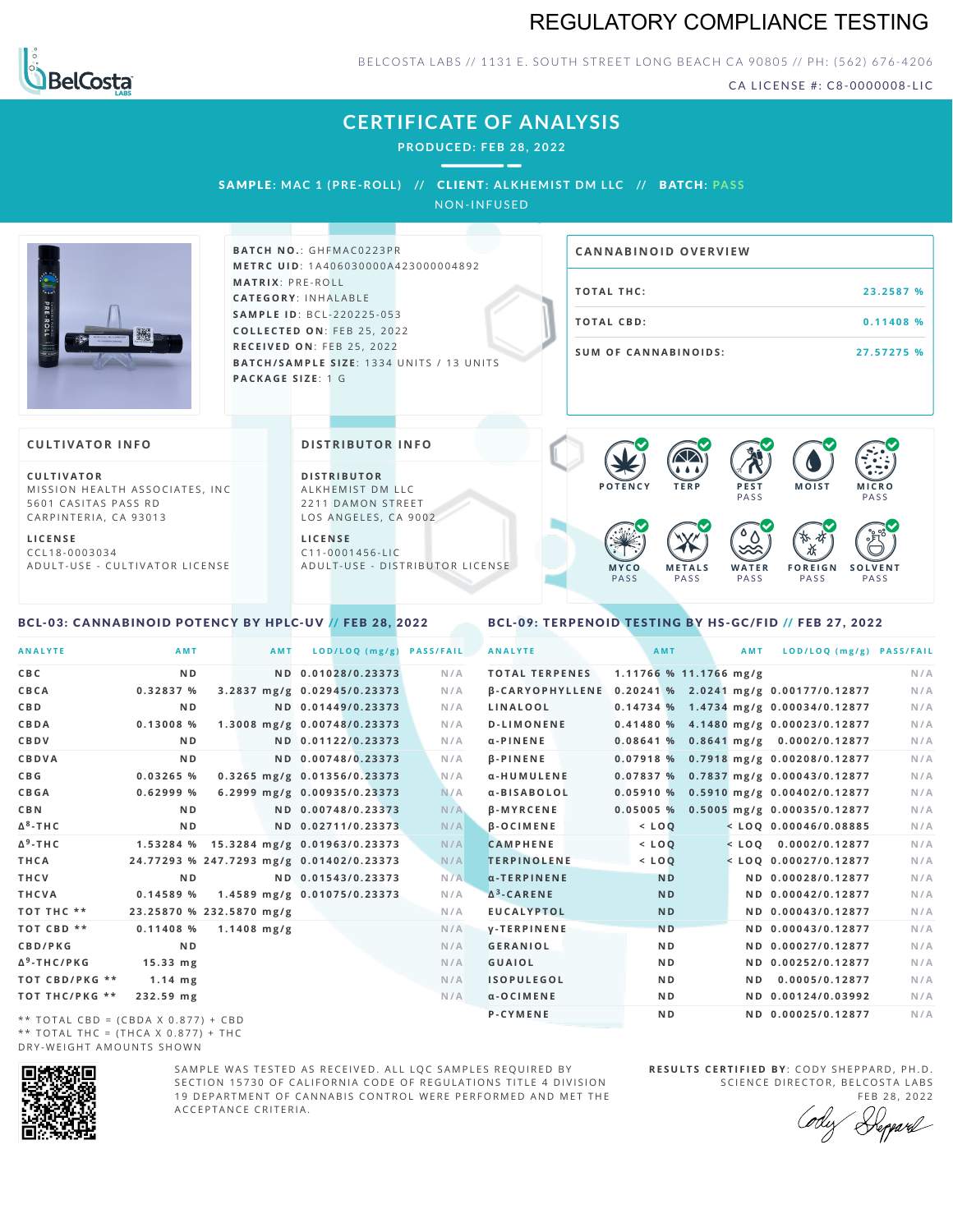## REGULATORY COMPLIANCE TESTING



BELCOSTA LABS // 1131 E. SOUTH STREET LONG BEACH CA 90805 // PH: (562) 676-4206

CA LICENSE #: C8-0000008-LIC

## **CERTIFICATE OF ANALYSIS**

**PRODUCED: F EB 28, 2022**

SAMPL E **: MAC 1 (PRE -ROL L ) //** CL I ENT**: A LKHEMI ST DM L LC //** BATCH**: PA S S** NON-INFUSED

**BATCH NO.: GHFMAC0223PR M E T R C U ID** :1 A 4 0 6 0 3 0 0 0 0 A 4 2 3 0 0 0 0 0 4 8 9 2 **M AT R I X** :P R E - R O L L **CAT E G O R Y** : I N H A L A B L E **SA M P L E I D** :B C L - 2 2 0 2 2 5 - 0 5 3 **C O L L E C T E D O N** :F E B 2 5 , 2 0 2 2 **R E C E I V E D O N** : F E B 2 5 , 2 0 2 2 **BATCH/SAMPLE SIZE:** 1334 UNITS / 13 UNITS **PAC KA G E S I Z E** : 1 G **T O TAL T H C :2 3 . 2 5 8 7 % T O TAL CB D :0 . 1 1 4 0 8 % S U M O F CA N N ABI N O I D S : 2 7 . 5 7 2 7 5 % CA N N ABI N OID OVERVI EW C U L T I VAT O R** MISSION HEALTH ASSOCIATES, INC. 5601 CASITAS PASS RD **CULTIVATOR I N FO D I S T R IB U T O R** ALKHEMIST DM LLC 2211 DAMON STREET **DI STRIBUTOR I N FO P O T E N C Y T E R P P E S T** PA S S **M O IS T M IC R O PASS**  $\bullet$  60 60 60 60

**L I C E N S E** C C L 1 8 - 0 0 0 3 0 3 4 A D U L T - U S E - C U L T I V A T O R L I C E N S E LOS ANGELES, CA 9002

 $C$  1 1 - 0 0 0 1 4 5 6 - L I C A D U L T - U S E - D I STRI B U T O R LICENSE

### <span id="page-0-0"></span>BCL-03: CANNABINOID POTENCY BY HPLC-UV // FEB 28, 2022

#### <span id="page-0-1"></span>BCL-09: TERPENOID TESTING BY HS-GC/FID // FEB 27, 2022

**M E T A L S** PA S S

**W A T E R** PA S S

 $\bullet$  0.0 0.0 0.0

**F O R E I G N** PA S S

祇

**S O L V E N T** PA S S

**M Y C O** PA S S

| <b>ANALYTE</b>                      | AMT                                      | <b>AMT</b>    | LOD/LOQ (mg/g)                         | <b>PASS/FAIL</b> | <b>ANALYTE</b>        |                          | AMT            | <b>AMT</b> | LOD/LOQ (mg/g) PASS/FAIL                              |     |
|-------------------------------------|------------------------------------------|---------------|----------------------------------------|------------------|-----------------------|--------------------------|----------------|------------|-------------------------------------------------------|-----|
| C B C                               | N <sub>D</sub>                           |               | ND 0.01028/0.23373                     | N/A              | <b>TOTAL TERPENES</b> | $1.11766$ % 11.1766 mg/g |                |            |                                                       | N/A |
| CBCA                                | 0.32837 %                                |               | 3.2837 mg/g 0.02945/0.23373            | N/A              |                       |                          |                |            | β-CARYOPHYLLENE 0.20241 % 2.0241 mg/g 0.00177/0.12877 | N/A |
| C B D                               | N <sub>D</sub>                           |               | ND 0.01449/0.23373                     | N/A              | LINALOOL              |                          |                |            | 0.14734 % 1.4734 mg/g 0.00034/0.12877                 | N/A |
| CBDA                                | $0.13008$ %                              |               | 1.3008 mg/g 0.00748/0.23373            | N/A              | <b>D-LIMONENE</b>     |                          |                |            | 0.41480 % 4.1480 mg/g 0.00023/0.12877                 | N/A |
| CBDV                                | N <sub>D</sub>                           |               | ND 0.01122/0.23373                     | N/A              | $\alpha$ -PINENE      |                          |                |            | $0.08641\%$ 0.8641 mg/g 0.0002/0.12877                | N/A |
| CBDVA                               | N <sub>D</sub>                           |               | ND 0.00748/0.23373                     | N/A              | <b>B-PINENE</b>       |                          |                |            | 0.07918 % 0.7918 mg/g 0.00208/0.12877                 | N/A |
| C B G                               | 0.03265 %                                |               | 0.3265 mg/g 0.01356/0.23373            | N/A              | α-HUMULENE            |                          |                |            | 0.07837 % 0.7837 mg/g 0.00043/0.12877                 | N/A |
| <b>CBGA</b>                         | 0.62999%                                 |               | 6.2999 mg/g 0.00935/0.23373            | N/A              | α-BISABOLOL           |                          |                |            | 0.05910 % 0.5910 mg/g 0.00402/0.12877                 | N/A |
| C B N                               | N <sub>D</sub>                           |               | ND 0.00748/0.23373                     | N/A              | <b>B-MYRCENE</b>      |                          |                |            | 0.05005 % 0.5005 mg/g 0.00035/0.12877                 | N/A |
| ∆ <sup>8</sup> -ТНС                 | N <sub>D</sub>                           |               | ND 0.02711/0.23373                     | N/A              | $\beta$ -OCIMENE      | $<$ LOQ                  |                |            | $<$ LOQ 0.00046/0.08885                               | N/A |
| Δ <sup>9</sup> -ΤΗ C                |                                          |               | 1.53284 % 15.3284 mg/g 0.01963/0.23373 | N/A              | <b>CAMPHENE</b>       | $<$ LOQ                  |                |            | $<$ LOO 0.0002/0.12877                                | N/A |
| THCA                                | 24.77293 % 247.7293 mg/g 0.01402/0.23373 |               |                                        | N/A              | <b>TERPINOLENE</b>    | $<$ LOQ                  |                |            | $<$ LOQ 0.00027/0.12877                               | N/A |
| THCV                                | N <sub>D</sub>                           |               | ND 0.01543/0.23373                     | N/A              | $\alpha$ -TERPINENE   |                          | <b>ND</b>      |            | ND 0.00028/0.12877                                    | N/A |
| THCVA                               | 0.14589 %                                |               | 1.4589 mg/g 0.01075/0.23373            | N/A              | $\Delta^3$ -CARENE    |                          | <b>ND</b>      |            | ND 0.00042/0.12877                                    | N/A |
| тот тнс **                          | 23.25870 % 232.5870 mg/g                 |               |                                        | N/A              | <b>EUCALYPTOL</b>     |                          | <b>ND</b>      |            | ND 0.00043/0.12877                                    | N/A |
| TOT CBD **                          | 0.11408%                                 | $1.1408$ mg/g |                                        | N/A              | <b>V-TERPINENE</b>    |                          | N <sub>D</sub> |            | ND 0.00043/0.12877                                    | N/A |
| <b>CBD/PKG</b>                      | N <sub>D</sub>                           |               |                                        | N/A              | <b>GERANIOL</b>       |                          | N <sub>D</sub> |            | ND 0.00027/0.12877                                    | N/A |
| Δ <sup>9</sup> -THC/PKG             | $15.33 \, \text{mg}$                     |               |                                        | N/A              | <b>GUAIOL</b>         |                          | N <sub>D</sub> |            | ND 0.00252/0.12877                                    | N/A |
| ТОТ СВD/РКG **                      | $1.14$ mg                                |               |                                        | N/A              | <b>ISOPULEGOL</b>     |                          | N <sub>D</sub> | N D        | 0.0005/0.12877                                        | N/A |
| ТОТ ТНС/РКG **                      | 232.59 mg                                |               |                                        | N/A              | $\alpha$ -OCIMENE     |                          | N <sub>D</sub> |            | ND 0.00124/0.03992                                    | N/A |
| ** TOTAL CBD = (CBDA X 0.877) + CBD |                                          |               |                                        |                  | P-CYMENE              |                          | N <sub>D</sub> |            | ND 0.00025/0.12877                                    | N/A |

\*\* TOTAL CBD = (CBDA X 0.877) + CBD \*\* TOTAL THC =  $(THCA X 0.877) + THC$ DRY-WEIGHT AMOUNTS SHOWN



SAMPLE WAS TESTED AS RECEIVED. ALL LOC SAMPLES REQUIRED BY SECTION 15730 OF CALIFORNIA CODE OF REGULATIONS TITLE 4 DIVISION 19 DEPARTMENT OF CANNABIS CONTROL WERE PERFORMED AND MET THE A C C E P T A N C E C R I T E R I A .

**R E S U L T S C E R T I F I E D BY** : C O D Y S H E P P A R D ,P H .D . SCIENCE DIRECTOR, BELCOSTA LABS

FEB 28, 2022 Heppard

CARPINTERIA, CA 93013 **L I C E N S E**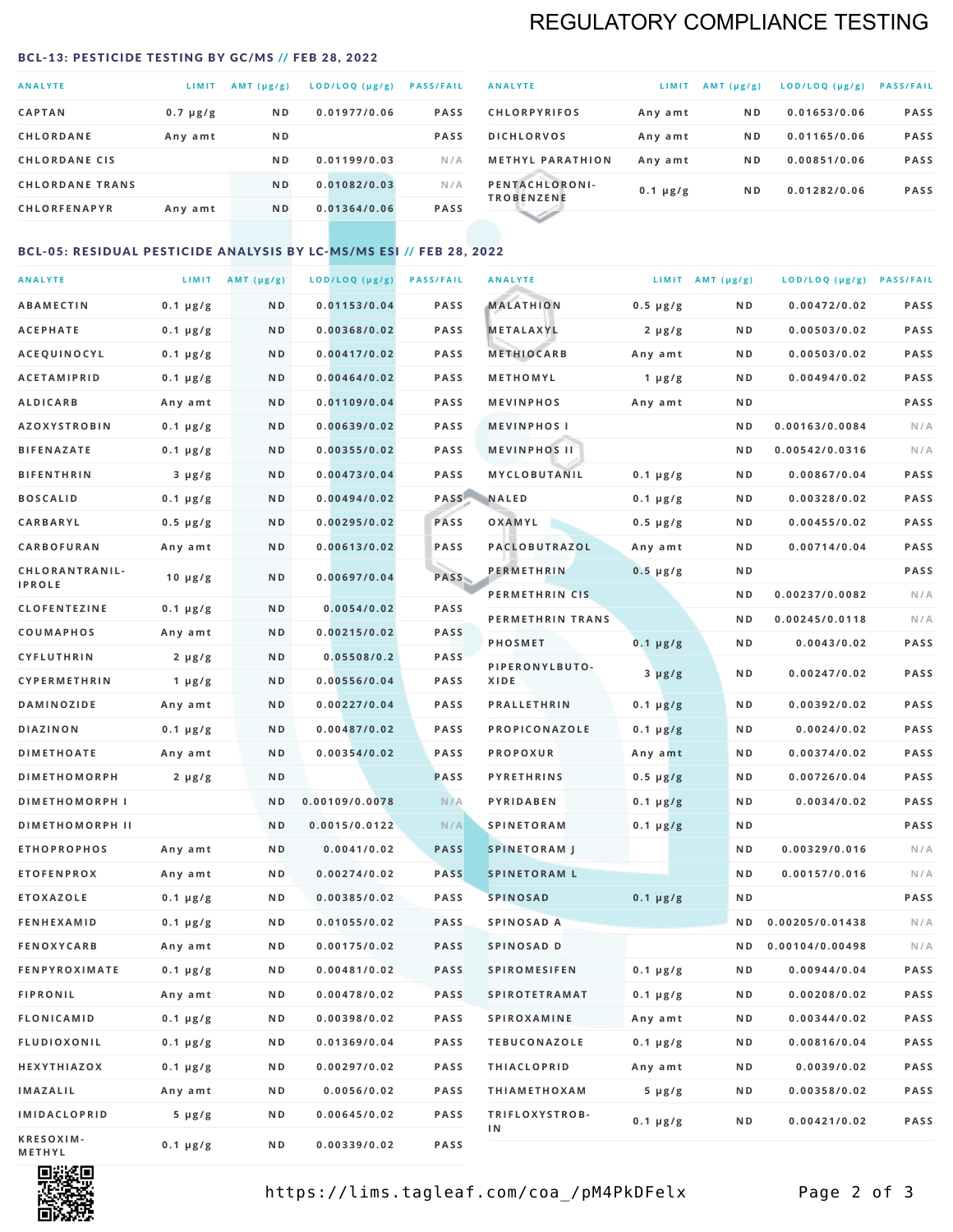## REGULATORY COMPLIANCE TESTING

#### <span id="page-1-0"></span>BCL-13: PESTICIDE TESTING BY GC/MS // FEB 28, 2022

| <b>ANALYTE</b>         | LIMIT         | $AMT(\mu g/g)$ | LOD/LOQ (µg/g) | <b>PASS/FAIL</b> |
|------------------------|---------------|----------------|----------------|------------------|
| <b>CAPTAN</b>          | $0.7 \mu g/g$ | N <sub>D</sub> | 0.01977/0.06   | <b>PASS</b>      |
| <b>CHLORDANE</b>       | Any amt       | N <sub>D</sub> |                | <b>PASS</b>      |
| <b>CHLORDANE CIS</b>   |               | ND.            | 0.01199/0.03   | N/A              |
| <b>CHLORDANE TRANS</b> |               | N <sub>D</sub> | 0.01082/0.03   | N/A              |
| <b>CHLORFENAPYR</b>    | Any amt       | N <sub>D</sub> | 0.01364/0.06   | <b>PASS</b>      |
|                        |               |                |                |                  |

| <b>ANALYTE</b>                      | LIMIT         | $AMT (\mu g/g)$ | LOD/LOQ (µg/g) | <b>PASS/FAIL</b> |
|-------------------------------------|---------------|-----------------|----------------|------------------|
| <b>CHLORPYRIFOS</b>                 | Any amt       | N <sub>D</sub>  | 0.01653/0.06   | <b>PASS</b>      |
| <b>DICHLORVOS</b>                   | Any amt       | N <sub>D</sub>  | 0.01165/0.06   | <b>PASS</b>      |
| <b>METHYL PARATHION</b>             | Any amt       | N <sub>D</sub>  | 0.00851/0.06   | <b>PASS</b>      |
| PENTACHLORONI-<br><b>TROBENZENE</b> | $0.1 \mu g/g$ | N <sub>D</sub>  | 0.01282/0.06   | <b>PASS</b>      |
|                                     |               |                 |                |                  |

### BCL-05: RESIDUAL PESTICIDE ANALYSIS BY LC-MS/MS ESI // FEB 28, 2022

| <b>ANALYTE</b>         |                  | LIMIT $AMT (\mu g/g)$ | LOD/LOQ (µg/g) | <b>PASS/FAIL</b> | <b>ANALYTE</b>       |                  | LIMIT AMT $(\mu g/g)$ | LOD/LOQ (µg/g) PASS/FAIL |             |
|------------------------|------------------|-----------------------|----------------|------------------|----------------------|------------------|-----------------------|--------------------------|-------------|
| <b>ABAMECTIN</b>       | $0.1 \mu g/g$    | N D                   | 0.01153/0.04   | PASS             | <b>MALATHION</b>     | $0.5 \mu g/g$    | N D                   | 0.00472/0.02             | <b>PASS</b> |
| <b>ACEPHATE</b>        | $0.1 \mu g/g$    | N D                   | 0.00368/0.02   | <b>PASS</b>      | <b>METALAXYL</b>     | $2 \mu g/g$      | N D                   | 0.00503/0.02             | PASS        |
| ACEQUINOCYL            | $0.1 \mu g/g$    | N D                   | 0.00417/0.02   | <b>PASS</b>      | <b>METHIOCARB</b>    | Any amt          | N D                   | 0.00503/0.02             | PASS        |
| <b>ACETAMIPRID</b>     | $0.1 \mu g/g$    | N D                   | 0.00464/0.02   | <b>PASS</b>      | METHOMYL             | 1 $\mu$ g/g      | N D                   | 0.00494/0.02             | PASS        |
| <b>ALDICARB</b>        | Any amt          | N D                   | 0.01109/0.04   | <b>PASS</b>      | <b>MEVINPHOS</b>     | Any amt          | N D                   |                          | PASS        |
| <b>AZOXYSTROBIN</b>    | $0.1 \mu g/g$    | N D                   | 0.00639/0.02   | <b>PASS</b>      | <b>MEVINPHOSI</b>    |                  | N D                   | 0.00163/0.0084           | N/A         |
| <b>BIFENAZATE</b>      | $0.1 \, \mu g/g$ | N D                   | 0.00355/0.02   | <b>PASS</b>      | <b>MEVINPHOS II</b>  |                  | N D                   | 0.00542/0.0316           | N/A         |
| <b>BIFENTHRIN</b>      | $3 \mu g/g$      | N D                   | 0.00473/0.04   | PASS             | MYCLOBUTANIL         | $0.1 \mu g/g$    | N D                   | 0.00867/0.04             | PASS        |
| <b>BOSCALID</b>        | $0.1 \mu g/g$    | N D                   | 0.00494/0.02   | PASS             | <b>NALED</b>         | $0.1 \mu g/g$    | N D                   | 0.00328/0.02             | PASS        |
| CARBARYL               | $0.5 \mu g/g$    | N D                   | 0.00295/0.02   | PASS             | OXAMYL               | $0.5 \, \mu g/g$ | N D                   | 0.00455/0.02             | PASS        |
| CARBOFURAN             | Any amt          | N D                   | 0.00613/0.02   | PASS             | PACLOBUTRAZOL        | Any amt          | N D                   | 0.00714/0.04             | PASS        |
| CHLORANTRANIL-         | $10 \mu g/g$     | N D                   | 0.00697/0.04   | <b>PASS</b>      | <b>PERMETHRIN</b>    | $0.5 \mu g/g$    | N D                   |                          | PASS        |
| <b>IPROLE</b>          |                  |                       |                |                  | PERMETHRIN CIS       |                  | N D                   | 0.00237/0.0082           | N/A         |
| <b>CLOFENTEZINE</b>    | $0.1 \mu g/g$    | N D                   | 0.0054/0.02    | <b>PASS</b>      | PERMETHRIN TRANS     |                  | N D                   | 0.00245/0.0118           | N/A         |
| <b>COUMAPHOS</b>       | Any amt          | N D                   | 0.00215/0.02   | <b>PASS</b>      | <b>PHOSMET</b>       | $0.1 \mu g/g$    | N D                   | 0.0043/0.02              | PASS        |
| CYFLUTHRIN             | $2 \mu g/g$      | N D                   | 0.05508/0.2    | <b>PASS</b>      | PIPERONYLBUTO-       | $3 \mu g/g$      | N D                   | 0.00247/0.02             | PASS        |
| CYPERMETHRIN           | $1 \mu g/g$      | ND                    | 0.00556/0.04   | <b>PASS</b>      | XIDE                 |                  |                       |                          |             |
| <b>DAMINOZIDE</b>      | Any amt          | N D                   | 0.00227/0.04   | PASS             | <b>PRALLETHRIN</b>   | $0.1 \mu g/g$    | N D                   | 0.00392/0.02             | PASS        |
| <b>DIAZINON</b>        | $0.1 \mu g/g$    | N D                   | 0.00487/0.02   | <b>PASS</b>      | PROPICONAZOLE        | $0.1 \mu g/g$    | N D                   | 0.0024/0.02              | PASS        |
| <b>DIMETHOATE</b>      | Any amt          | N D                   | 0.00354/0.02   | <b>PASS</b>      | <b>PROPOXUR</b>      | Any amt          | N D                   | 0.00374/0.02             | PASS        |
| <b>DIMETHOMORPH</b>    | $2 \mu g/g$      | N D                   |                | <b>PASS</b>      | <b>PYRETHRINS</b>    | $0.5 \mu g/g$    | N D                   | 0.00726/0.04             | PASS        |
| <b>DIMETHOMORPH I</b>  |                  | N D                   | 0.00109/0.0078 | N/A              | PYRIDABEN            | $0.1 \mu g/g$    | N D                   | 0.0034/0.02              | PASS        |
| <b>DIMETHOMORPH II</b> |                  | N <sub>D</sub>        | 0.0015/0.0122  | N/A              | <b>SPINETORAM</b>    | $0.1 \mu g/g$    | N D                   |                          | PASS        |
| <b>ETHOPROPHOS</b>     | Any amt          | N D                   | 0.0041/0.02    | <b>PASS</b>      | <b>SPINETORAM J</b>  |                  | ND.                   | 0.00329/0.016            | N/A         |
| <b>ETOFENPROX</b>      | Any amt          | N D                   | 0.00274/0.02   | <b>PASS</b>      | <b>SPINETORAM L</b>  |                  | N D                   | 0.00157/0.016            | N/A         |
| <b>ETOXAZOLE</b>       | $0.1 \mu g/g$    | N D                   | 0.00385/0.02   | <b>PASS</b>      | <b>SPINOSAD</b>      | $0.1 \mu g/g$    | N D                   |                          | PASS        |
| <b>FENHEXAMID</b>      | $0.1 \mu g/g$    | N D                   | 0.01055/0.02   | <b>PASS</b>      | SPINOSAD A           |                  | N D                   | 0.00205/0.01438          | N/A         |
| <b>FENOXYCARB</b>      | Any amt          | N D                   | 0.00175/0.02   | <b>PASS</b>      | SPINOSAD D           |                  | N D                   | 0.00104/0.00498          | N/A         |
| <b>FENPYROXIMATE</b>   | $0.1 \mu g/g$    | N D                   | 0.00481/0.02   | PASS             | <b>SPIROMESIFEN</b>  | $0.1 \mu g/g$    | N D                   | 0.00944/0.04             | PASS        |
| <b>FIPRONIL</b>        | Any amt          | N D                   | 0.00478/0.02   | <b>PASS</b>      | <b>SPIROTETRAMAT</b> | $0.1 \mu g/g$    | N D                   | 0.00208/0.02             | PASS        |
| <b>FLONICAMID</b>      | $0.1 \mu g/g$    | N D                   | 0.00398/0.02   | PASS             | <b>SPIROXAMINE</b>   | Any amt          | N D                   | 0.00344/0.02             | PASS        |
| <b>FLUDIOXONIL</b>     | $0.1 \mu g/g$    | N D                   | 0.01369/0.04   | PASS             | <b>TEBUCONAZOLE</b>  | $0.1 \mu g/g$    | N D                   | 0.00816/0.04             | PASS        |
| HEXYTHIAZOX            | $0.1 \mu g/g$    | N D                   | 0.00297/0.02   | PASS             | <b>THIACLOPRID</b>   | Any amt          | N D                   | 0.0039/0.02              | PASS        |
| <b>IMAZALIL</b>        | Any amt          | N D                   | 0.0056/0.02    | PASS             | <b>THIAMETHOXAM</b>  | $5 \mu g/g$      | N D                   | 0.00358/0.02             | PASS        |
| <b>IMIDACLOPRID</b>    | $5 \mu g/g$      | N D                   | 0.00645/0.02   | <b>PASS</b>      | TRIFLOXYSTROB-<br>1N | $0.1 \mu g/g$    | N D                   | 0.00421/0.02             | PASS        |
| KRESOXIM-<br>METHYL    | 0.1 µg/g         | N D                   | 0.00339/0.02   | PASS             |                      |                  |                       |                          |             |